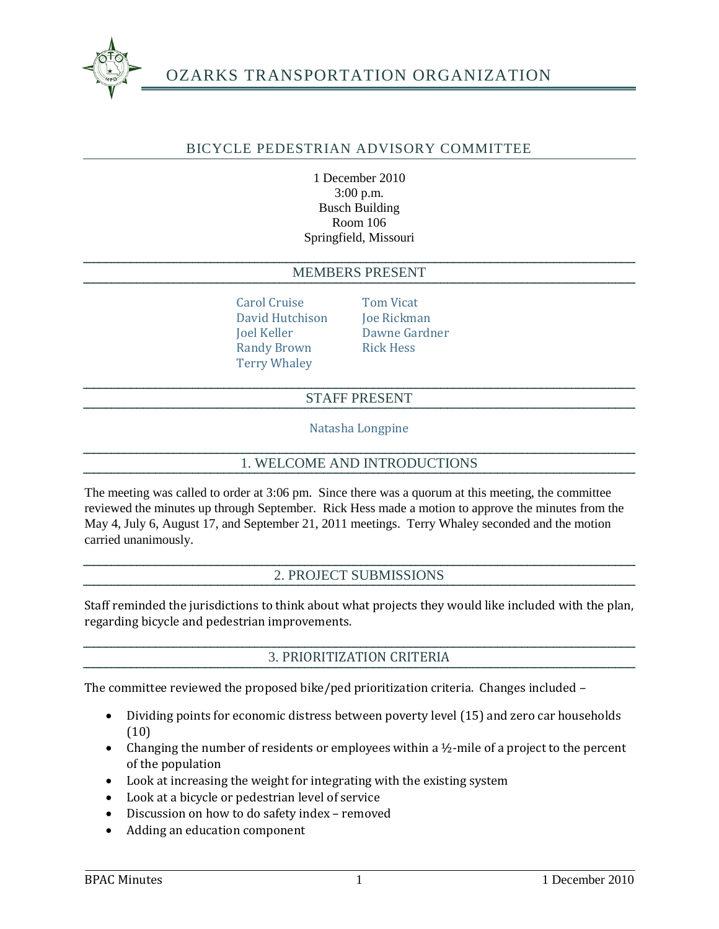

# OZARKS TRANSPORTATION ORGANIZATION

## BICYCLE PEDESTRIAN ADVISORY COMMITTEE

1 December 2010 3:00 p.m. Busch Building Room 106 Springfield, Missouri

#### MEMBERS PRESENT

Carol Cruise Tom Vicat David Hutchison Joe Rickman Joel Keller Dawne Gardner Randy Brown Rick Hess Terry Whaley

#### STAFF PRESENT

Natasha Longpine

#### 1. WELCOME AND INTRODUCTIONS

The meeting was called to order at 3:06 pm. Since there was a quorum at this meeting, the committee reviewed the minutes up through September. Rick Hess made a motion to approve the minutes from the May 4, July 6, August 17, and September 21, 2011 meetings. Terry Whaley seconded and the motion carried unanimously.

### 2. PROJECT SUBMISSIONS

Staff reminded the jurisdictions to think about what projects they would like included with the plan, regarding bicycle and pedestrian improvements.

#### 3. PRIORITIZATION CRITERIA

The committee reviewed the proposed bike/ped prioritization criteria. Changes included –

- Dividing points for economic distress between poverty level (15) and zero car households (10)
- Changing the number of residents or employees within a  $\frac{1}{2}$ -mile of a project to the percent of the population
- Look at increasing the weight for integrating with the existing system
- Look at a bicycle or pedestrian level of service
- Discussion on how to do safety index removed
- Adding an education component